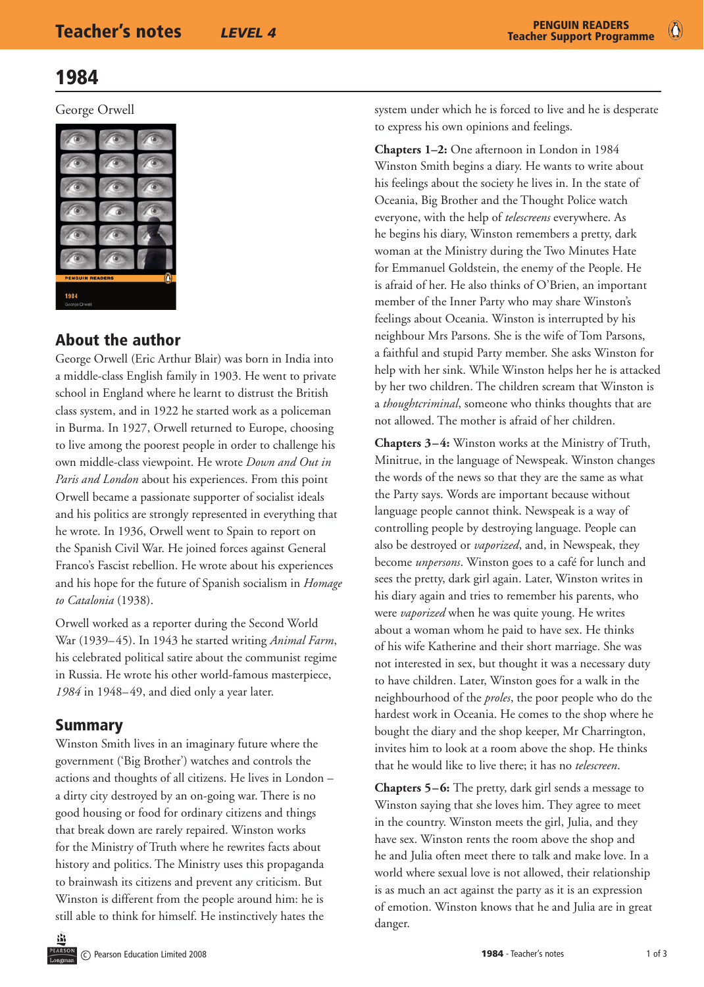$\bullet$ 

## 1984

George Orwell



## About the author

George Orwell (Eric Arthur Blair) was born in India into a middle-class English family in 1903. He went to private school in England where he learnt to distrust the British class system, and in 1922 he started work as a policeman in Burma. In 1927, Orwell returned to Europe, choosing to live among the poorest people in order to challenge his own middle-class viewpoint. He wrote *Down and Out in Paris and London* about his experiences. From this point Orwell became a passionate supporter of socialist ideals and his politics are strongly represented in everything that he wrote. In 1936, Orwell went to Spain to report on the Spanish Civil War. He joined forces against General Franco's Fascist rebellion. He wrote about his experiences and his hope for the future of Spanish socialism in *Homage to Catalonia* (1938).

Orwell worked as a reporter during the Second World War (1939–45). In 1943 he started writing *Animal Farm*, his celebrated political satire about the communist regime in Russia. He wrote his other world-famous masterpiece, *1984* in 1948–49, and died only a year later.

## Summary

Winston Smith lives in an imaginary future where the government ('Big Brother') watches and controls the actions and thoughts of all citizens. He lives in London – a dirty city destroyed by an on-going war. There is no good housing or food for ordinary citizens and things that break down are rarely repaired. Winston works for the Ministry of Truth where he rewrites facts about history and politics. The Ministry uses this propaganda to brainwash its citizens and prevent any criticism. But Winston is different from the people around him: he is still able to think for himself. He instinctively hates the

system under which he is forced to live and he is desperate to express his own opinions and feelings.

**Chapters 1–2:** One afternoon in London in 1984 Winston Smith begins a diary. He wants to write about his feelings about the society he lives in. In the state of Oceania, Big Brother and the Thought Police watch everyone, with the help of *telescreens* everywhere. As he begins his diary, Winston remembers a pretty, dark woman at the Ministry during the Two Minutes Hate for Emmanuel Goldstein, the enemy of the People. He is afraid of her. He also thinks of O'Brien, an important member of the Inner Party who may share Winston's feelings about Oceania. Winston is interrupted by his neighbour Mrs Parsons. She is the wife of Tom Parsons, a faithful and stupid Party member. She asks Winston for help with her sink. While Winston helps her he is attacked by her two children. The children scream that Winston is a *thoughtcriminal*, someone who thinks thoughts that are not allowed. The mother is afraid of her children.

**Chapters 3–4:** Winston works at the Ministry of Truth, Minitrue, in the language of Newspeak. Winston changes the words of the news so that they are the same as what the Party says. Words are important because without language people cannot think. Newspeak is a way of controlling people by destroying language. People can also be destroyed or *vaporized*, and, in Newspeak, they become *unpersons*. Winston goes to a café for lunch and sees the pretty, dark girl again. Later, Winston writes in his diary again and tries to remember his parents, who were *vaporized* when he was quite young. He writes about a woman whom he paid to have sex. He thinks of his wife Katherine and their short marriage. She was not interested in sex, but thought it was a necessary duty to have children. Later, Winston goes for a walk in the neighbourhood of the *proles*, the poor people who do the hardest work in Oceania. He comes to the shop where he bought the diary and the shop keeper, Mr Charrington, invites him to look at a room above the shop. He thinks that he would like to live there; it has no *telescreen*.

**Chapters 5–6:** The pretty, dark girl sends a message to Winston saying that she loves him. They agree to meet in the country. Winston meets the girl, Julia, and they have sex. Winston rents the room above the shop and he and Julia often meet there to talk and make love. In a world where sexual love is not allowed, their relationship is as much an act against the party as it is an expression of emotion. Winston knows that he and Julia are in great danger.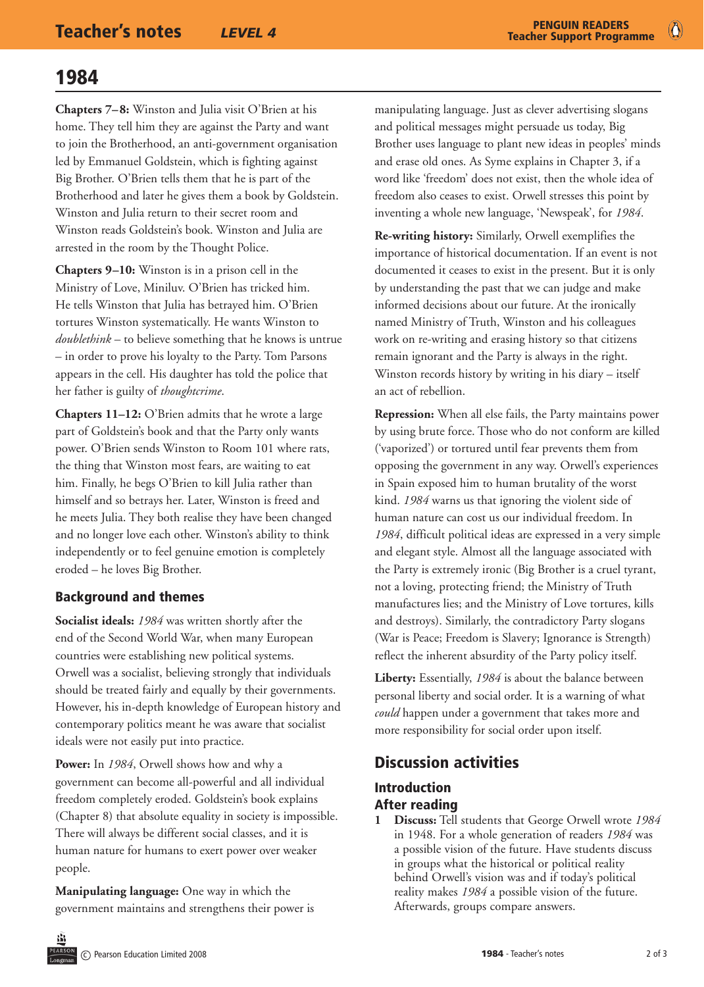Ő

# 1984

**Chapters 7–8:** Winston and Julia visit O'Brien at his home. They tell him they are against the Party and want to join the Brotherhood, an anti-government organisation led by Emmanuel Goldstein, which is fighting against Big Brother. O'Brien tells them that he is part of the Brotherhood and later he gives them a book by Goldstein. Winston and Julia return to their secret room and Winston reads Goldstein's book. Winston and Julia are arrested in the room by the Thought Police.

**Chapters 9–10:** Winston is in a prison cell in the Ministry of Love, Miniluv. O'Brien has tricked him. He tells Winston that Julia has betrayed him. O'Brien tortures Winston systematically. He wants Winston to *doublethink* – to believe something that he knows is untrue – in order to prove his loyalty to the Party. Tom Parsons appears in the cell. His daughter has told the police that her father is guilty of *thoughtcrime*.

**Chapters 11–12:** O'Brien admits that he wrote a large part of Goldstein's book and that the Party only wants power. O'Brien sends Winston to Room 101 where rats, the thing that Winston most fears, are waiting to eat him. Finally, he begs O'Brien to kill Julia rather than himself and so betrays her. Later, Winston is freed and he meets Julia. They both realise they have been changed and no longer love each other. Winston's ability to think independently or to feel genuine emotion is completely eroded – he loves Big Brother.

## Background and themes

**Socialist ideals:** *1984* was written shortly after the end of the Second World War, when many European countries were establishing new political systems. Orwell was a socialist, believing strongly that individuals should be treated fairly and equally by their governments. However, his in-depth knowledge of European history and contemporary politics meant he was aware that socialist ideals were not easily put into practice.

**Power:** In *1984*, Orwell shows how and why a government can become all-powerful and all individual freedom completely eroded. Goldstein's book explains (Chapter 8) that absolute equality in society is impossible. There will always be different social classes, and it is human nature for humans to exert power over weaker people.

**Manipulating language:** One way in which the government maintains and strengthens their power is

manipulating language. Just as clever advertising slogans and political messages might persuade us today, Big Brother uses language to plant new ideas in peoples' minds and erase old ones. As Syme explains in Chapter 3, if a word like 'freedom' does not exist, then the whole idea of freedom also ceases to exist. Orwell stresses this point by inventing a whole new language, 'Newspeak', for *1984*.

**Re-writing history:** Similarly, Orwell exemplifies the importance of historical documentation. If an event is not documented it ceases to exist in the present. But it is only by understanding the past that we can judge and make informed decisions about our future. At the ironically named Ministry of Truth, Winston and his colleagues work on re-writing and erasing history so that citizens remain ignorant and the Party is always in the right. Winston records history by writing in his diary – itself an act of rebellion.

**Repression:** When all else fails, the Party maintains power by using brute force. Those who do not conform are killed ('vaporized') or tortured until fear prevents them from opposing the government in any way. Orwell's experiences in Spain exposed him to human brutality of the worst kind. *1984* warns us that ignoring the violent side of human nature can cost us our individual freedom. In *1984*, difficult political ideas are expressed in a very simple and elegant style. Almost all the language associated with the Party is extremely ironic (Big Brother is a cruel tyrant, not a loving, protecting friend; the Ministry of Truth manufactures lies; and the Ministry of Love tortures, kills and destroys). Similarly, the contradictory Party slogans (War is Peace; Freedom is Slavery; Ignorance is Strength) reflect the inherent absurdity of the Party policy itself.

**Liberty:** Essentially, *1984* is about the balance between personal liberty and social order. It is a warning of what *could* happen under a government that takes more and more responsibility for social order upon itself.

## Discussion activities

## Introduction After reading

**1 Discuss:** Tell students that George Orwell wrote *1984* in 1948. For a whole generation of readers *1984* was a possible vision of the future. Have students discuss in groups what the historical or political reality behind Orwell's vision was and if today's political reality makes *1984* a possible vision of the future. Afterwards, groups compare answers.